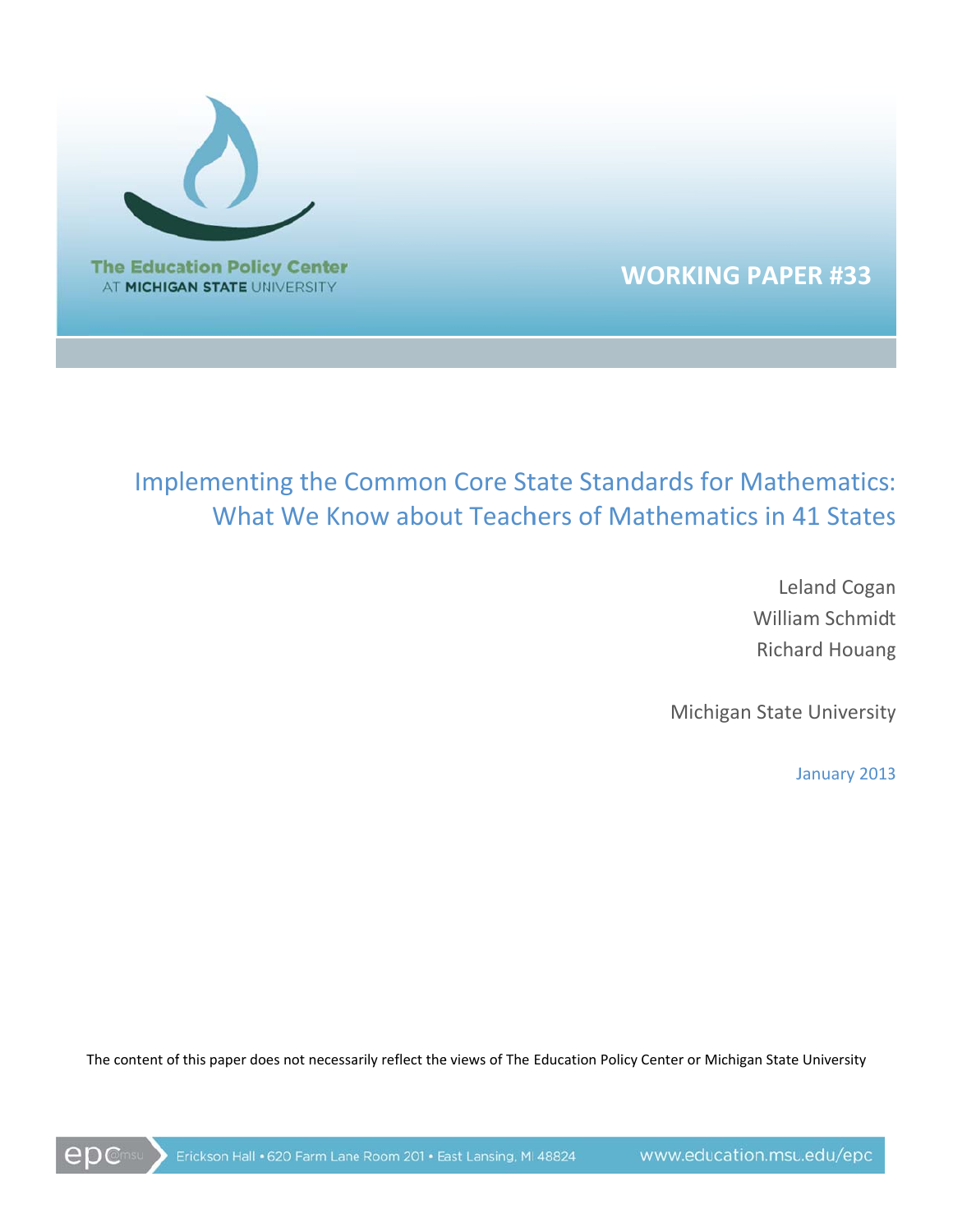

**WORKING PAPER #33** 

# Implementing the Common Core State Standards for Mathematics: What We Know about Teachers of Mathematics in 41 States

**Leland Cogan William Schmidt Richard Houang** 

Michigan State University

January 2013

The content of this paper does not necessarily reflect the views of The Education Policy Center or Michigan State University

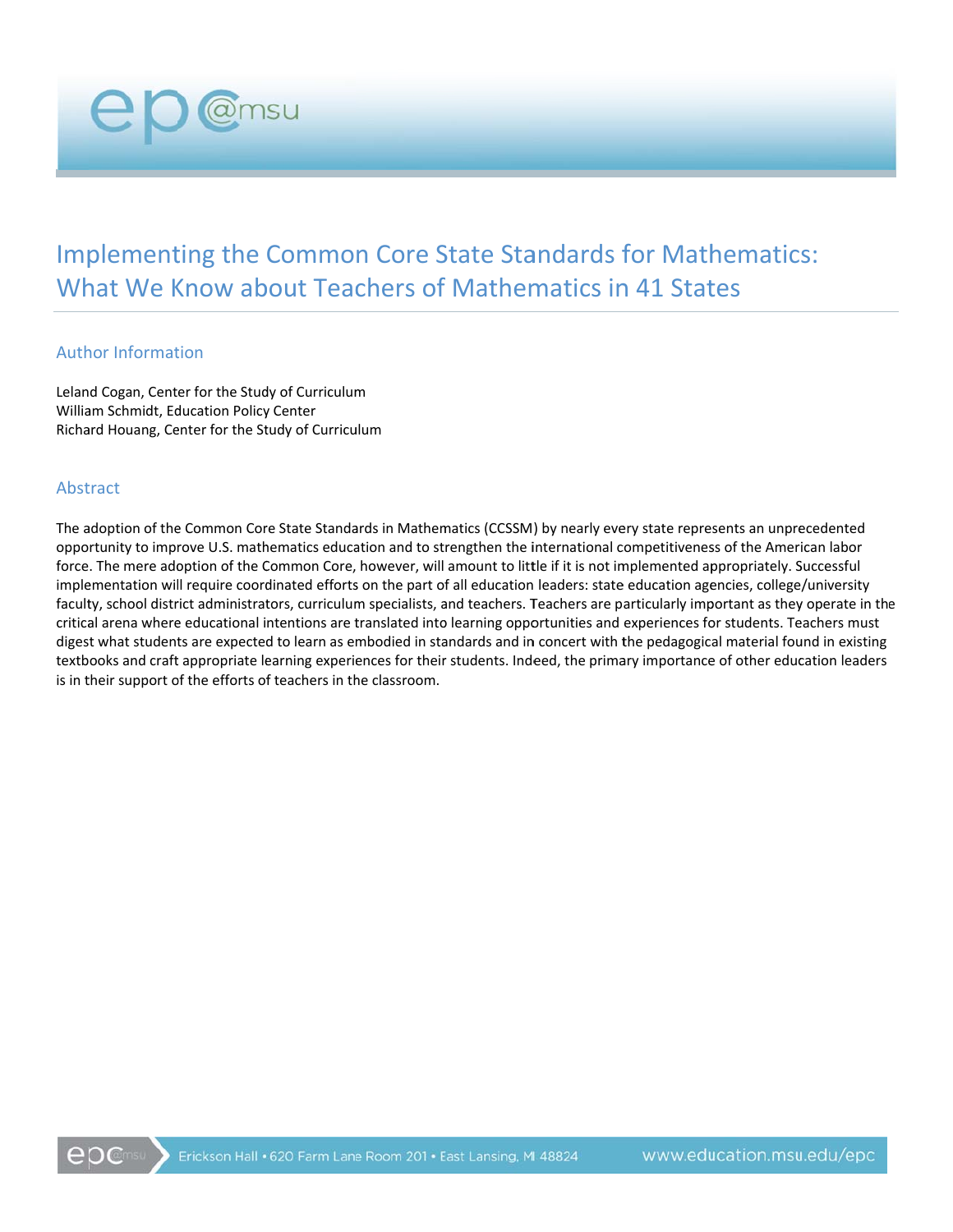**Implementing the Common Core State Standards for Mathematics:** What We Know about Teachers of Mathematics in 41 States

#### **Author Information**

Leland Cogan, Center for the Study of Curriculum William Schmidt, Education Policy Center Richard Houang, Center for the Study of Curriculum

**CD** @msu

#### Abstract

The adoption of the Common Core State Standards in Mathematics (CCSSM) by nearly every state represents an unprecedented opportunity to improve U.S. mathematics education and to strengthen the international competitiveness of the American labor force. The mere adoption of the Common Core, however, will amount to little if it is not implemented appropriately. Successful implementation will require coordinated efforts on the part of all education leaders: state education agencies, college/university faculty, school district administrators, curriculum specialists, and teachers. Teachers are particularly important as they operate in the critical arena where educational intentions are translated into learning opportunities and experiences for students. Teachers must digest what students are expected to learn as embodied in standards and in concert with the pedagogical material found in existing textbooks and craft appropriate learning experiences for their students. Indeed, the primary importance of other education leaders is in their support of the efforts of teachers in the classroom.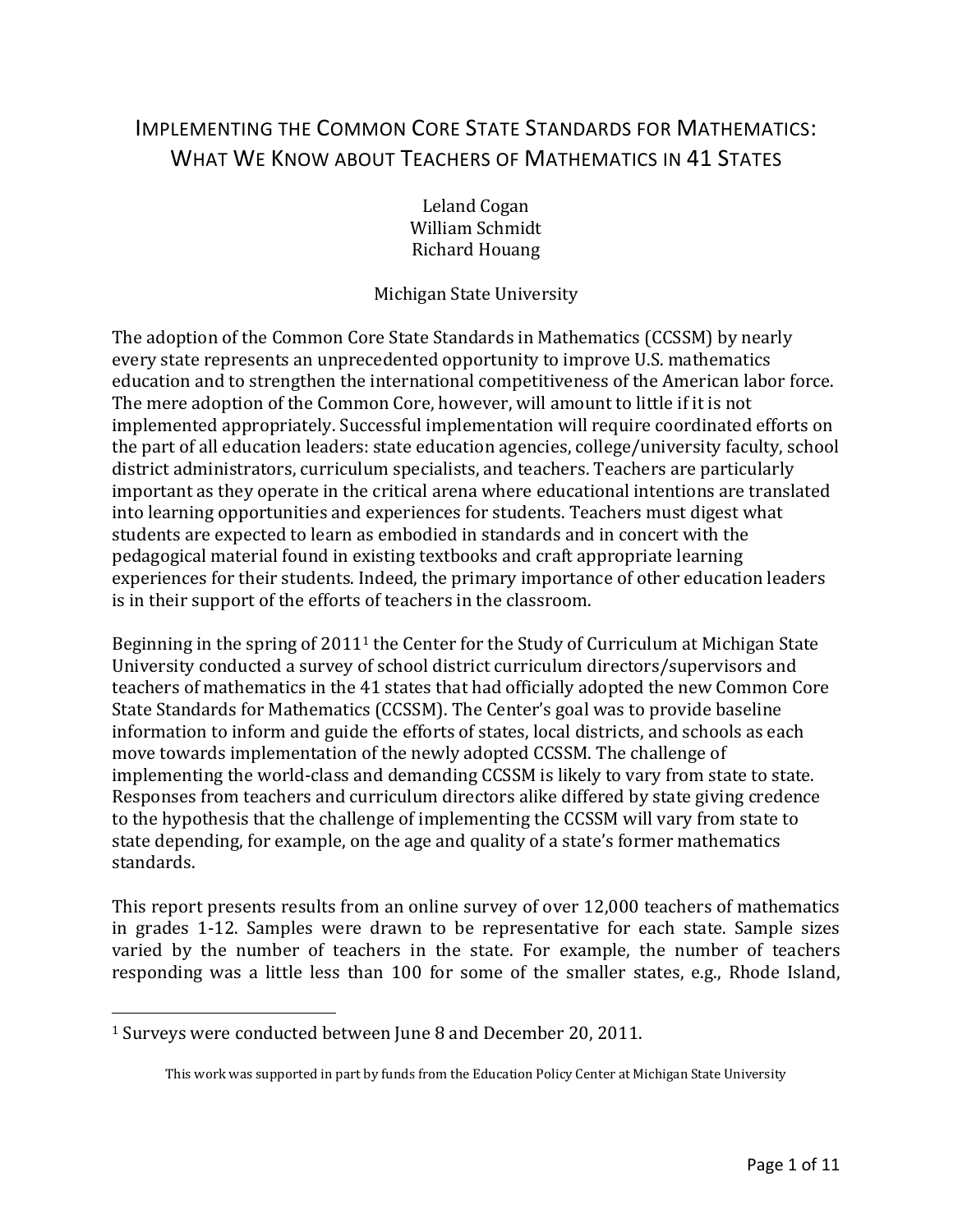# IMPLEMENTING THE COMMON CORE STATE STANDARDS FOR MATHEMATICS: WHAT WE KNOW ABOUT TEACHERS OF MATHEMATICS IN 41 STATES

Leland Cogan William Schmidt Richard Houang

### Michigan State University

The adoption of the Common Core State Standards in Mathematics (CCSSM) by nearly every state represents an unprecedented opportunity to improve U.S. mathematics education and to strengthen the international competitiveness of the American labor force. The mere adoption of the Common Core, however, will amount to little if it is not implemented appropriately. Successful implementation will require coordinated efforts on the part of all education leaders: state education agencies, college/university faculty, school district administrators, curriculum specialists, and teachers. Teachers are particularly important as they operate in the critical arena where educational intentions are translated into learning opportunities and experiences for students. Teachers must digest what students are expected to learn as embodied in standards and in concert with the pedagogical material found in existing textbooks and craft appropriate learning experiences for their students. Indeed, the primary importance of other education leaders is in their support of the efforts of teachers in the classroom.

Beginning in the spring of  $2011<sup>1</sup>$  the Center for the Study of Curriculum at Michigan State University conducted a survey of school district curriculum directors/supervisors and teachers of mathematics in the 41 states that had officially adopted the new Common Core State Standards for Mathematics (CCSSM). The Center's goal was to provide baseline information to inform and guide the efforts of states, local districts, and schools as each move towards implementation of the newly adopted CCSSM. The challenge of implementing the world-class and demanding CCSSM is likely to vary from state to state. Responses from teachers and curriculum directors alike differed by state giving credence to the hypothesis that the challenge of implementing the CCSSM will vary from state to state depending, for example, on the age and quality of a state's former mathematics standards. 

This report presents results from an online survey of over 12,000 teachers of mathematics in grades 1-12. Samples were drawn to be representative for each state. Sample sizes varied by the number of teachers in the state. For example, the number of teachers responding was a little less than 100 for some of the smaller states, e.g., Rhode Island,

 

<sup>&</sup>lt;sup>1</sup> Surveys were conducted between June 8 and December 20, 2011.

This work was supported in part by funds from the Education Policy Center at Michigan State University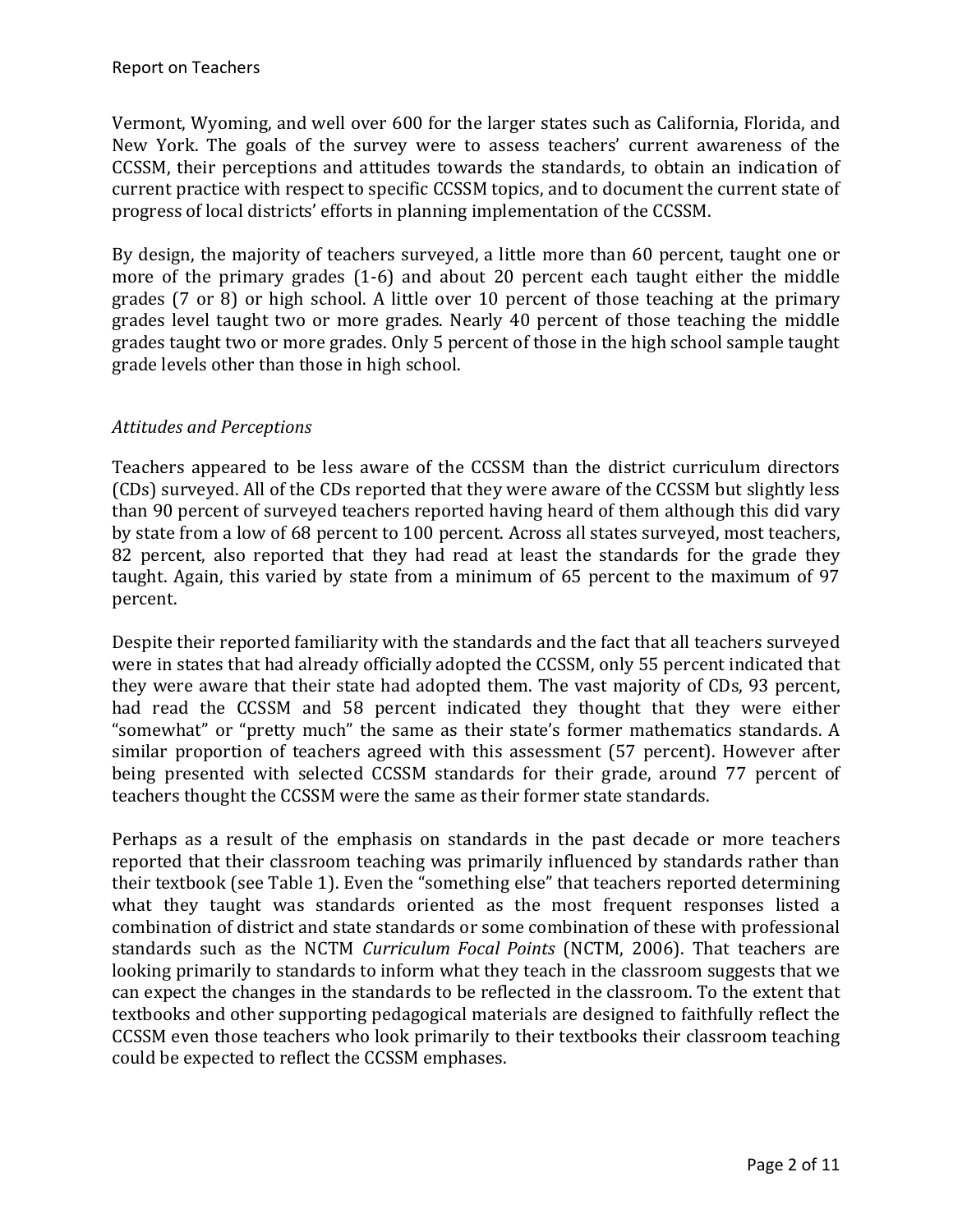Vermont, Wyoming, and well over 600 for the larger states such as California, Florida, and New York. The goals of the survey were to assess teachers' current awareness of the CCSSM, their perceptions and attitudes towards the standards, to obtain an indication of current practice with respect to specific CCSSM topics, and to document the current state of progress of local districts' efforts in planning implementation of the CCSSM.

By design, the majority of teachers surveyed, a little more than 60 percent, taught one or more of the primary grades  $(1-6)$  and about 20 percent each taught either the middle grades  $(7 \text{ or } 8)$  or high school. A little over 10 percent of those teaching at the primary grades level taught two or more grades. Nearly 40 percent of those teaching the middle grades taught two or more grades. Only 5 percent of those in the high school sample taught grade levels other than those in high school.

## *Attitudes and Perceptions*

Teachers appeared to be less aware of the CCSSM than the district curriculum directors (CDs) surveyed. All of the CDs reported that they were aware of the CCSSM but slightly less than 90 percent of surveyed teachers reported having heard of them although this did vary by state from a low of 68 percent to 100 percent. Across all states surveyed, most teachers, 82 percent, also reported that they had read at least the standards for the grade they taught. Again, this varied by state from a minimum of 65 percent to the maximum of 97 percent. 

Despite their reported familiarity with the standards and the fact that all teachers surveyed were in states that had already officially adopted the CCSSM, only 55 percent indicated that they were aware that their state had adopted them. The vast majority of CDs, 93 percent, had read the CCSSM and 58 percent indicated they thought that they were either "somewhat" or "pretty much" the same as their state's former mathematics standards. A similar proportion of teachers agreed with this assessment (57 percent). However after being presented with selected CCSSM standards for their grade, around 77 percent of teachers thought the CCSSM were the same as their former state standards.

Perhaps as a result of the emphasis on standards in the past decade or more teachers reported that their classroom teaching was primarily influenced by standards rather than their textbook (see Table 1). Even the "something else" that teachers reported determining what they taught was standards oriented as the most frequent responses listed a combination of district and state standards or some combination of these with professional standards such as the NCTM *Curriculum Focal Points* (NCTM, 2006). That teachers are looking primarily to standards to inform what they teach in the classroom suggests that we can expect the changes in the standards to be reflected in the classroom. To the extent that textbooks and other supporting pedagogical materials are designed to faithfully reflect the CCSSM even those teachers who look primarily to their textbooks their classroom teaching could be expected to reflect the CCSSM emphases.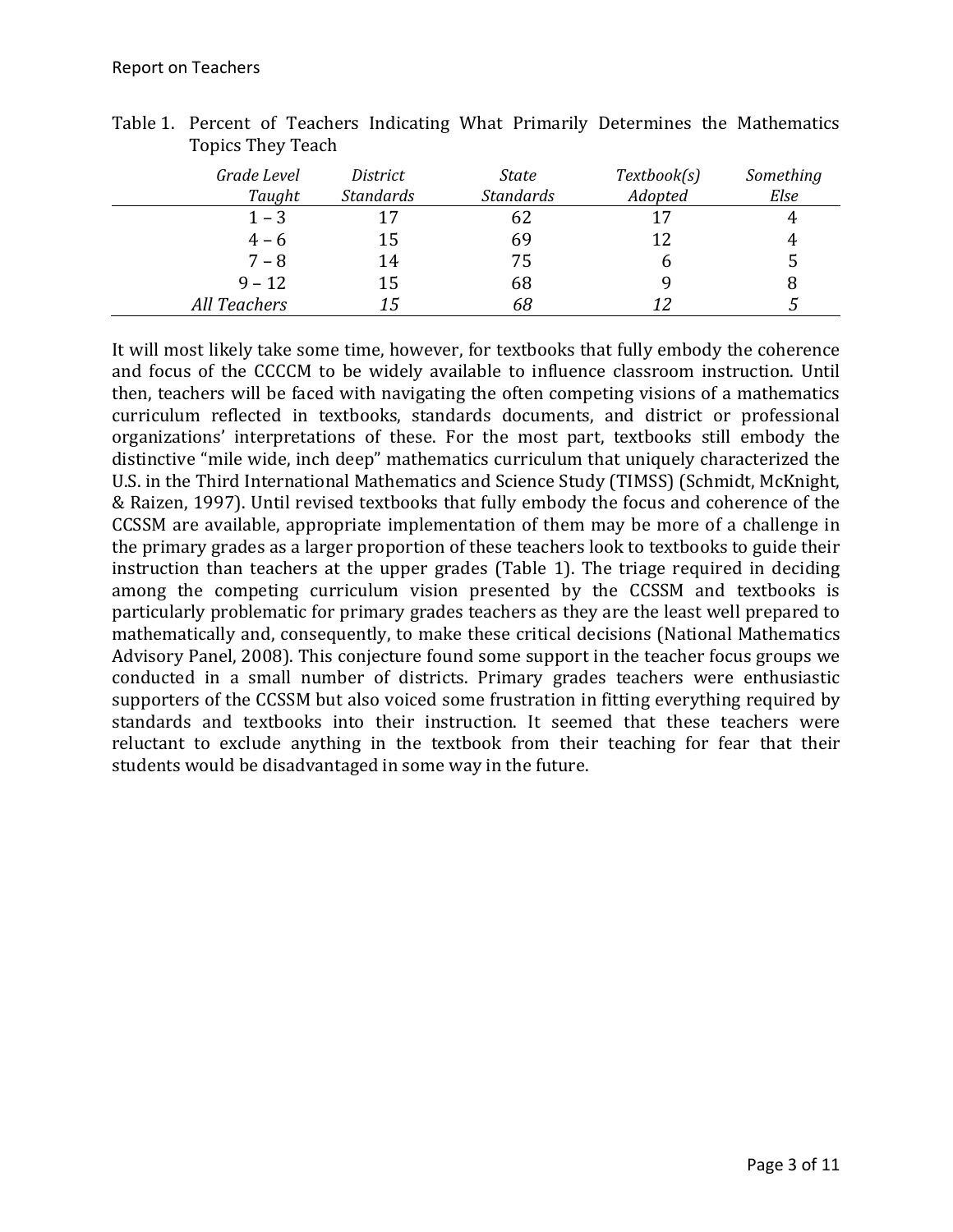| Grade Level<br>Taught | District<br><b>Standards</b> | State<br><b>Standards</b> | Textbook(s)<br>Adopted | Something<br>Else |
|-----------------------|------------------------------|---------------------------|------------------------|-------------------|
| $1 - 3$               | 17                           | 62                        | 17                     | 4                 |
| $4 - 6$               | 15                           | 69                        | 12                     | 4                 |
| $7 - 8$               | 14                           | 75                        |                        | 5                 |
| $9 - 12$              | 15                           | 68                        |                        |                   |
| <b>All Teachers</b>   | 15                           | 68                        | 12                     |                   |

Table 1. Percent of Teachers Indicating What Primarily Determines the Mathematics Topics They Teach 

It will most likely take some time, however, for textbooks that fully embody the coherence and focus of the CCCCM to be widely available to influence classroom instruction. Until then, teachers will be faced with navigating the often competing visions of a mathematics curriculum reflected in textbooks, standards documents, and district or professional organizations' interpretations of these. For the most part, textbooks still embody the distinctive "mile wide, inch deep" mathematics curriculum that uniquely characterized the U.S. in the Third International Mathematics and Science Study (TIMSS) (Schmidt, McKnight, & Raizen, 1997). Until revised textbooks that fully embody the focus and coherence of the CCSSM are available, appropriate implementation of them may be more of a challenge in the primary grades as a larger proportion of these teachers look to textbooks to guide their instruction than teachers at the upper grades (Table 1). The triage required in deciding among the competing curriculum vision presented by the CCSSM and textbooks is particularly problematic for primary grades teachers as they are the least well prepared to mathematically and, consequently, to make these critical decisions (National Mathematics Advisory Panel, 2008). This conjecture found some support in the teacher focus groups we conducted in a small number of districts. Primary grades teachers were enthusiastic supporters of the CCSSM but also voiced some frustration in fitting everything required by standards and textbooks into their instruction. It seemed that these teachers were reluctant to exclude anything in the textbook from their teaching for fear that their students would be disadvantaged in some way in the future.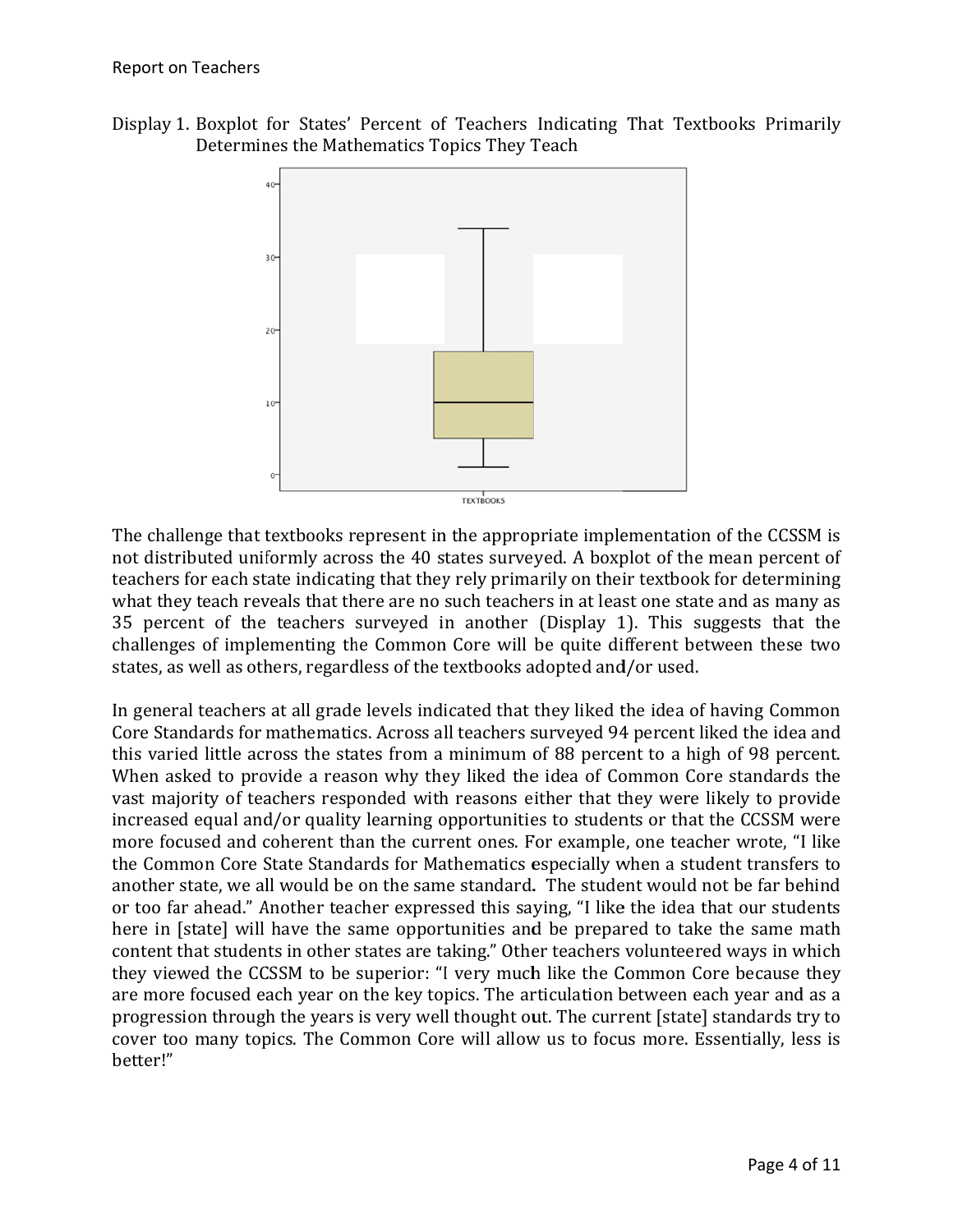



The challenge that textbooks represent in the appropriate implementation of the CCSSM is not distributed uniformly across the 40 states surveyed. A boxplot of the mean percent of teachers for each state indicating that they rely primarily on their textbook for determining what they teach reveals that there are no such teachers in at least one state and as many as 35 percent of the teachers surveyed in another (Display 1). This suggests that the challenges of implementing the Common Core will be quite different between these two states, as well as others, regardless of the textbooks adopted and/or used.

In general teachers at all grade levels indicated that they liked the idea of having Common Core Standards for mathematics. Across all teachers surveyed 94 percent liked the idea and this varied little across the states from a minimum of 88 percent to a high of 98 percent. When asked to provide a reason why they liked the idea of Common Core standards the vast majority of teachers responded with reasons either that they were likely to provide increased equal and/or quality learning opportunities to students or that the CCSSM were more focused and coherent than the current ones. For example, one teacher wrote, "I like the Common Core State Standards for Mathematics especially when a student transfers to another state, we all would be on the same standard. The student would not be far behind or too far ahead." Another teacher expressed this saying, "I like the idea that our students here in [state] will have the same opportunities and be prepared to take the same math content that students in other states are taking." Other teachers volunteered ways in which they viewed the CCSSM to be superior: "I very much like the Common Core because they are more focused each year on the key topics. The articulation between each year and as a progression through the years is very well thought out. The current [state] standards try to cover too many topics. The Common Core will allow us to focus more. Essentially, less is better!"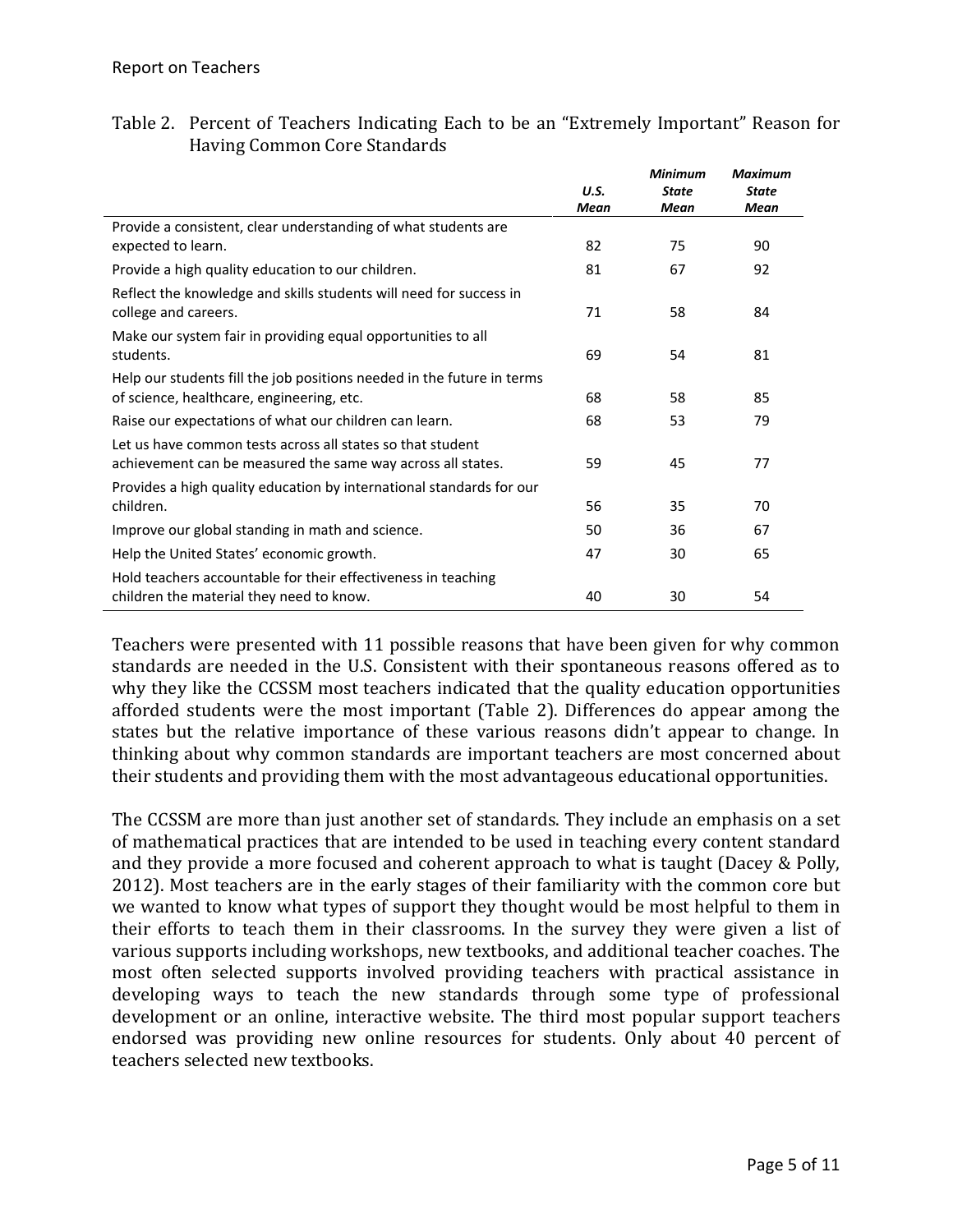| Table 2. Percent of Teachers Indicating Each to be an "Extremely Important" Reason for |  |  |  |  |
|----------------------------------------------------------------------------------------|--|--|--|--|
| Having Common Core Standards                                                           |  |  |  |  |

|                                                                        |              | <b>Minimum</b>       | <b>Maximum</b>       |
|------------------------------------------------------------------------|--------------|----------------------|----------------------|
|                                                                        | U.S.<br>Mean | <b>State</b><br>Mean | <b>State</b><br>Mean |
| Provide a consistent, clear understanding of what students are         |              |                      |                      |
| expected to learn.                                                     | 82           | 75                   | 90                   |
| Provide a high quality education to our children.                      | 81           | 67                   | 92                   |
| Reflect the knowledge and skills students will need for success in     |              |                      |                      |
| college and careers.                                                   | 71           | 58                   | 84                   |
| Make our system fair in providing equal opportunities to all           |              |                      |                      |
| students.                                                              | 69           | 54                   | 81                   |
| Help our students fill the job positions needed in the future in terms |              |                      |                      |
| of science, healthcare, engineering, etc.                              | 68           | 58                   | 85                   |
| Raise our expectations of what our children can learn.                 | 68           | 53                   | 79                   |
| Let us have common tests across all states so that student             |              |                      |                      |
| achievement can be measured the same way across all states.            | 59           | 45                   | 77                   |
| Provides a high quality education by international standards for our   |              |                      |                      |
| children.                                                              | 56           | 35                   | 70                   |
| Improve our global standing in math and science.                       | 50           | 36                   | 67                   |
| Help the United States' economic growth.                               | 47           | 30                   | 65                   |
| Hold teachers accountable for their effectiveness in teaching          |              |                      |                      |
| children the material they need to know.                               | 40           | 30                   | 54                   |

Teachers were presented with 11 possible reasons that have been given for why common standards are needed in the U.S. Consistent with their spontaneous reasons offered as to why they like the CCSSM most teachers indicated that the quality education opportunities afforded students were the most important (Table 2). Differences do appear among the states but the relative importance of these various reasons didn't appear to change. In thinking about why common standards are important teachers are most concerned about their students and providing them with the most advantageous educational opportunities.

The CCSSM are more than just another set of standards. They include an emphasis on a set of mathematical practices that are intended to be used in teaching every content standard and they provide a more focused and coherent approach to what is taught (Dacey & Polly, 2012). Most teachers are in the early stages of their familiarity with the common core but we wanted to know what types of support they thought would be most helpful to them in their efforts to teach them in their classrooms. In the survey they were given a list of various supports including workshops, new textbooks, and additional teacher coaches. The most often selected supports involved providing teachers with practical assistance in developing ways to teach the new standards through some type of professional development or an online, interactive website. The third most popular support teachers endorsed was providing new online resources for students. Only about 40 percent of teachers selected new textbooks.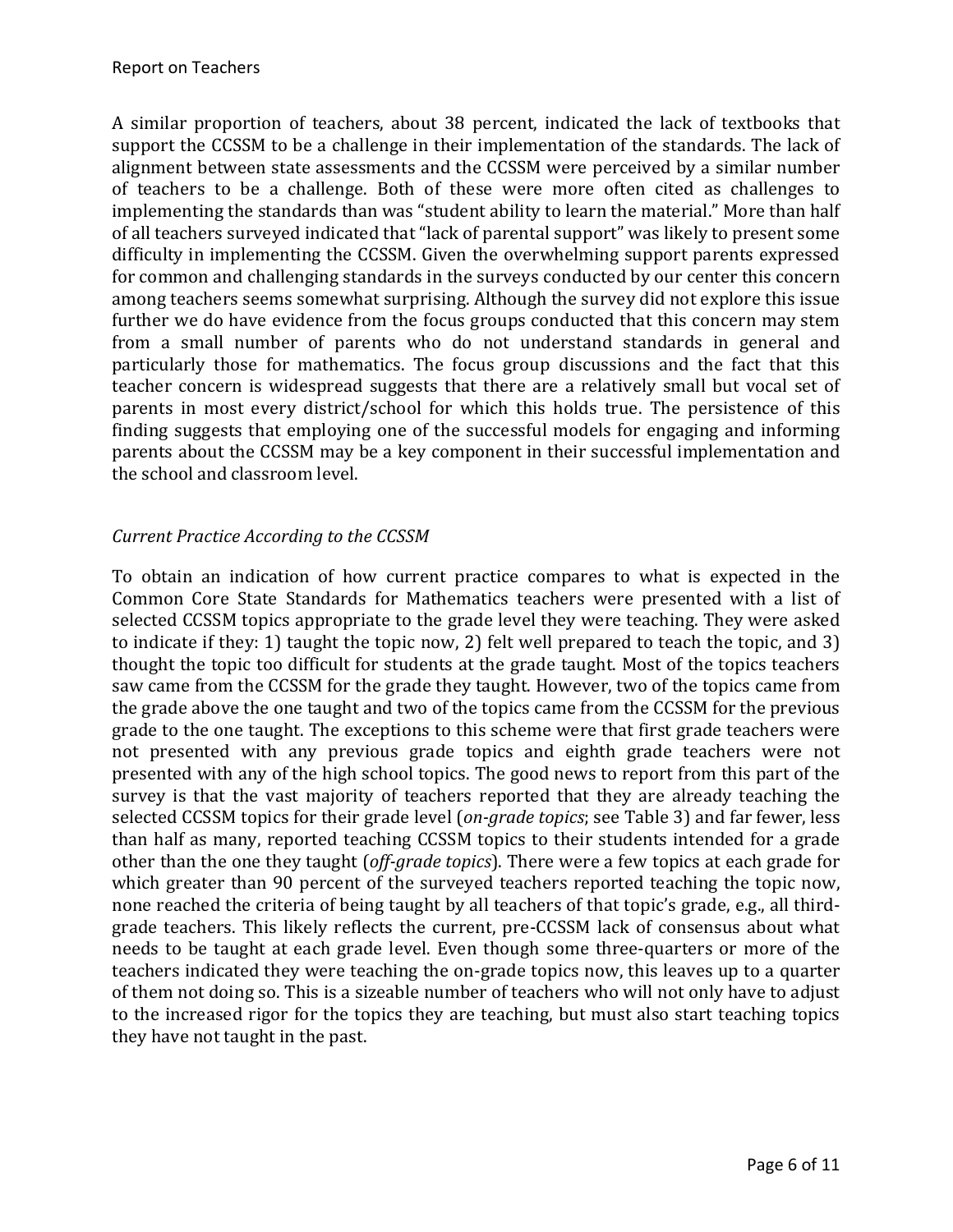A similar proportion of teachers, about 38 percent, indicated the lack of textbooks that support the CCSSM to be a challenge in their implementation of the standards. The lack of alignment between state assessments and the CCSSM were perceived by a similar number of teachers to be a challenge. Both of these were more often cited as challenges to implementing the standards than was "student ability to learn the material." More than half of all teachers surveyed indicated that "lack of parental support" was likely to present some difficulty in implementing the CCSSM. Given the overwhelming support parents expressed for common and challenging standards in the surveys conducted by our center this concern among teachers seems somewhat surprising. Although the survey did not explore this issue further we do have evidence from the focus groups conducted that this concern may stem from a small number of parents who do not understand standards in general and particularly those for mathematics. The focus group discussions and the fact that this teacher concern is widespread suggests that there are a relatively small but vocal set of parents in most every district/school for which this holds true. The persistence of this finding suggests that employing one of the successful models for engaging and informing parents about the CCSSM may be a key component in their successful implementation and the school and classroom level.

# *Current Practice According to the CCSSM*

To obtain an indication of how current practice compares to what is expected in the Common Core State Standards for Mathematics teachers were presented with a list of selected CCSSM topics appropriate to the grade level they were teaching. They were asked to indicate if they: 1) taught the topic now, 2) felt well prepared to teach the topic, and 3) thought the topic too difficult for students at the grade taught. Most of the topics teachers saw came from the CCSSM for the grade they taught. However, two of the topics came from the grade above the one taught and two of the topics came from the CCSSM for the previous grade to the one taught. The exceptions to this scheme were that first grade teachers were not presented with any previous grade topics and eighth grade teachers were not presented with any of the high school topics. The good news to report from this part of the survey is that the vast majority of teachers reported that they are already teaching the selected CCSSM topics for their grade level (*on-grade topics*; see Table 3) and far fewer, less than half as many, reported teaching CCSSM topics to their students intended for a grade other than the one they taught (*off-grade topics*). There were a few topics at each grade for which greater than 90 percent of the surveyed teachers reported teaching the topic now, none reached the criteria of being taught by all teachers of that topic's grade, e.g., all thirdgrade teachers. This likely reflects the current, pre-CCSSM lack of consensus about what needs to be taught at each grade level. Even though some three-quarters or more of the teachers indicated they were teaching the on-grade topics now, this leaves up to a quarter of them not doing so. This is a sizeable number of teachers who will not only have to adjust to the increased rigor for the topics they are teaching, but must also start teaching topics they have not taught in the past.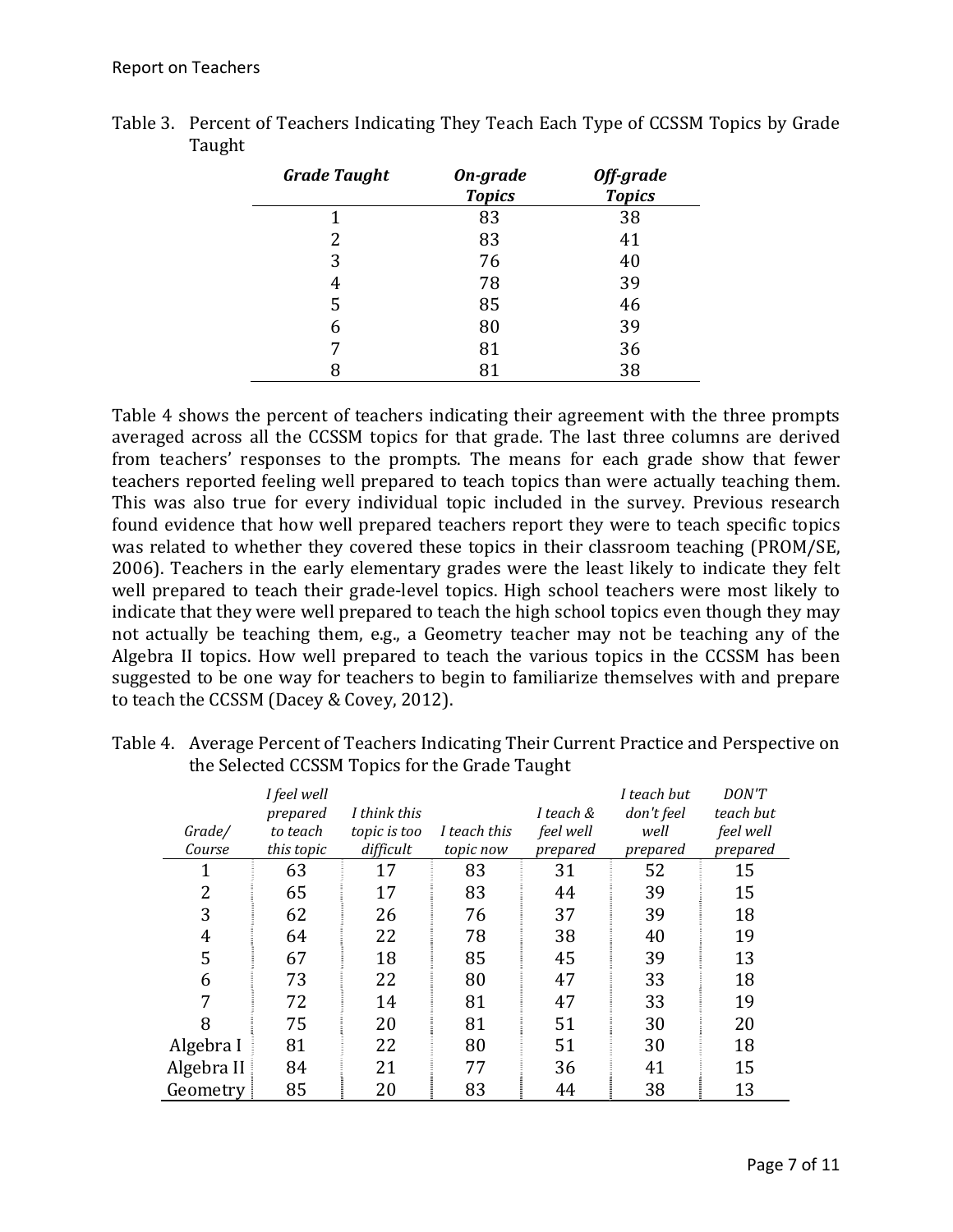| <b>Grade Taught</b> | On-grade<br><b>Topics</b> | Off-grade<br><b>Topics</b> |
|---------------------|---------------------------|----------------------------|
| 1                   | 83                        | 38                         |
| 2                   | 83                        | 41                         |
| 3                   | 76                        | 40                         |
| 4                   | 78                        | 39                         |
| 5                   | 85                        | 46                         |
| 6                   | 80                        | 39                         |
| 7                   | 81                        | 36                         |
| 8                   |                           | 38                         |

Table 3. Percent of Teachers Indicating They Teach Each Type of CCSSM Topics by Grade Taught 

Table 4 shows the percent of teachers indicating their agreement with the three prompts averaged across all the CCSSM topics for that grade. The last three columns are derived from teachers' responses to the prompts. The means for each grade show that fewer teachers reported feeling well prepared to teach topics than were actually teaching them. This was also true for every individual topic included in the survey. Previous research found evidence that how well prepared teachers report they were to teach specific topics was related to whether they covered these topics in their classroom teaching (PROM/SE, 2006). Teachers in the early elementary grades were the least likely to indicate they felt well prepared to teach their grade-level topics. High school teachers were most likely to indicate that they were well prepared to teach the high school topics even though they may not actually be teaching them, e.g., a Geometry teacher may not be teaching any of the Algebra II topics. How well prepared to teach the various topics in the CCSSM has been suggested to be one way for teachers to begin to familiarize themselves with and prepare to teach the CCSSM (Dacey & Covey, 2012).

|            | I feel well |              |              |           | I teach but | DON'T     |
|------------|-------------|--------------|--------------|-----------|-------------|-----------|
|            | prepared    | I think this |              | I teach & | don't feel  | teach but |
| Grade/     | to teach    | topic is too | I teach this | feel well | well        | feel well |
| Course     | this topic  | difficult    | topic now    | prepared  | prepared    | prepared  |
| 1          | 63          | 17           | 83           | 31        | 52          | 15        |
| 2          | 65          | 17           | 83           | 44        | 39          | 15        |
| 3          | 62          | 26           | 76           | 37        | 39          | 18        |
| 4          | 64          | 22           | 78           | 38        | 40          | 19        |
| 5          | 67          | 18           | 85           | 45        | 39          | 13        |
| 6          | 73          | 22           | 80           | 47        | 33          | 18        |
| 7          | 72          | 14           | 81           | 47        | 33          | 19        |
| 8          | 75          | 20           | 81           | 51        | 30          | 20        |
| Algebra I  | 81          | 22           | 80           | 51        | 30          | 18        |
| Algebra II | 84          | 21           | 77           | 36        | 41          | 15        |
| Geometry   | 85          | 20           | 83           | 44        | 38          | 13        |

Table 4. Average Percent of Teachers Indicating Their Current Practice and Perspective on the Selected CCSSM Topics for the Grade Taught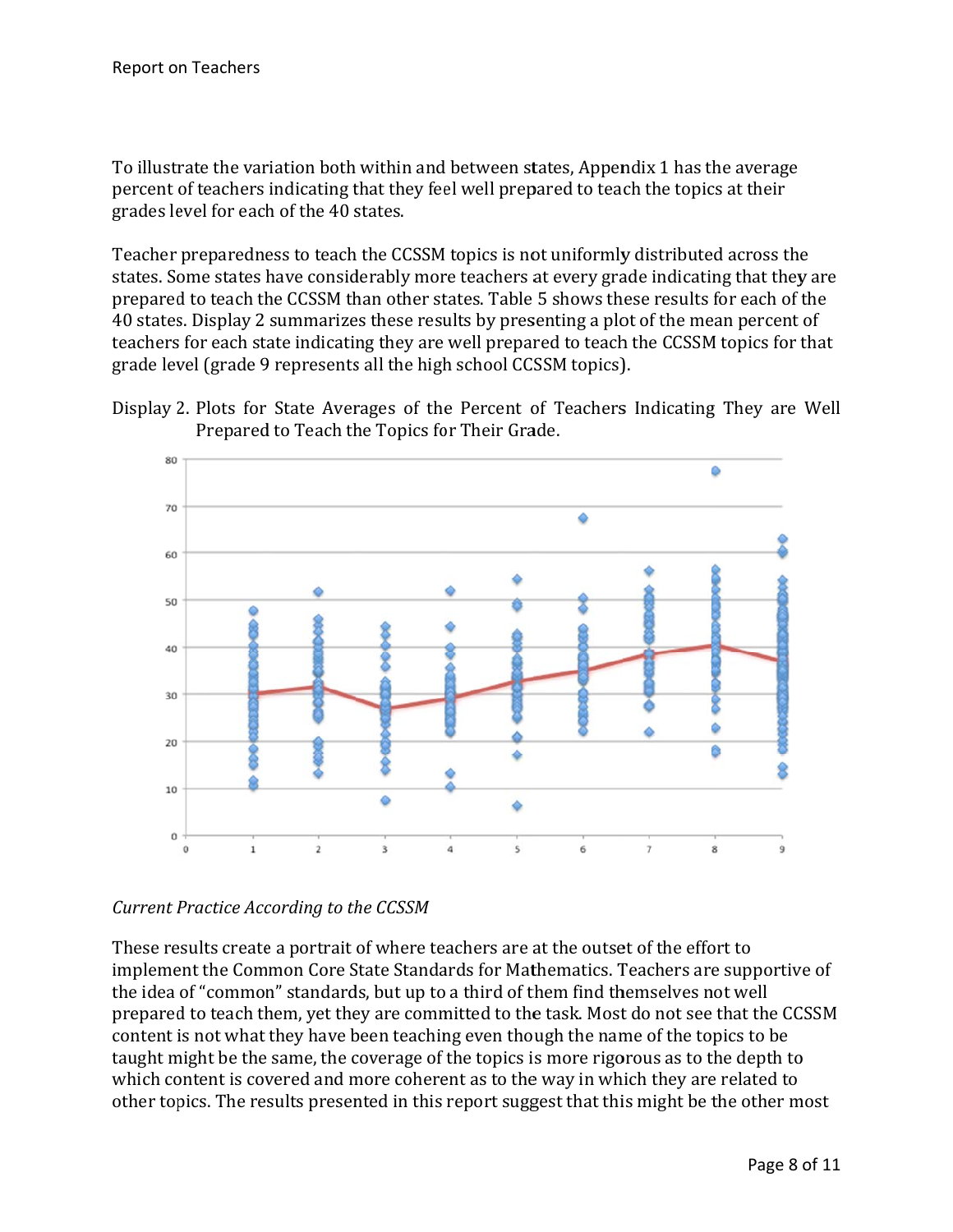To illustrate the variation both within and between states, Appendix 1 has the average percent of teachers indicating that they feel well prepared to teach the topics at their grades level for each of the 40 states.

Teacher preparedness to teach the CCSSM topics is not uniformly distributed across the states. Some states have considerably more teachers at every grade indicating that they are prepared to teach the CCSSM than other states. Table 5 shows these results for each of the 40 states. Display 2 summarizes these results by presenting a plot of the mean percent of teachers for each state indicating they are well prepared to teach the CCSSM topics for that grade level (grade 9 represents all the high school CCSSM topics).





*Current P Practice Acc cording to th he CCSSM*

These results create a portrait of where teachers are at the outset of the effort to implement the Common Core State Standards for Mathematics. Teachers are supportive of the idea of "common" standards, but up to a third of them find themselves not well prepared to teach them, yet they are committed to the task. Most do not see that the CCSSM content is not what they have been teaching even though the name of the topics to be taught might be the same, the coverage of the topics is more rigorous as to the depth to which content is covered and more coherent as to the way in which they are related to taught might be the same, the coverage of the topics is more rigorous as to the depth to<br>which content is covered and more coherent as to the way in which they are related to<br>other topics. The results presented in this rep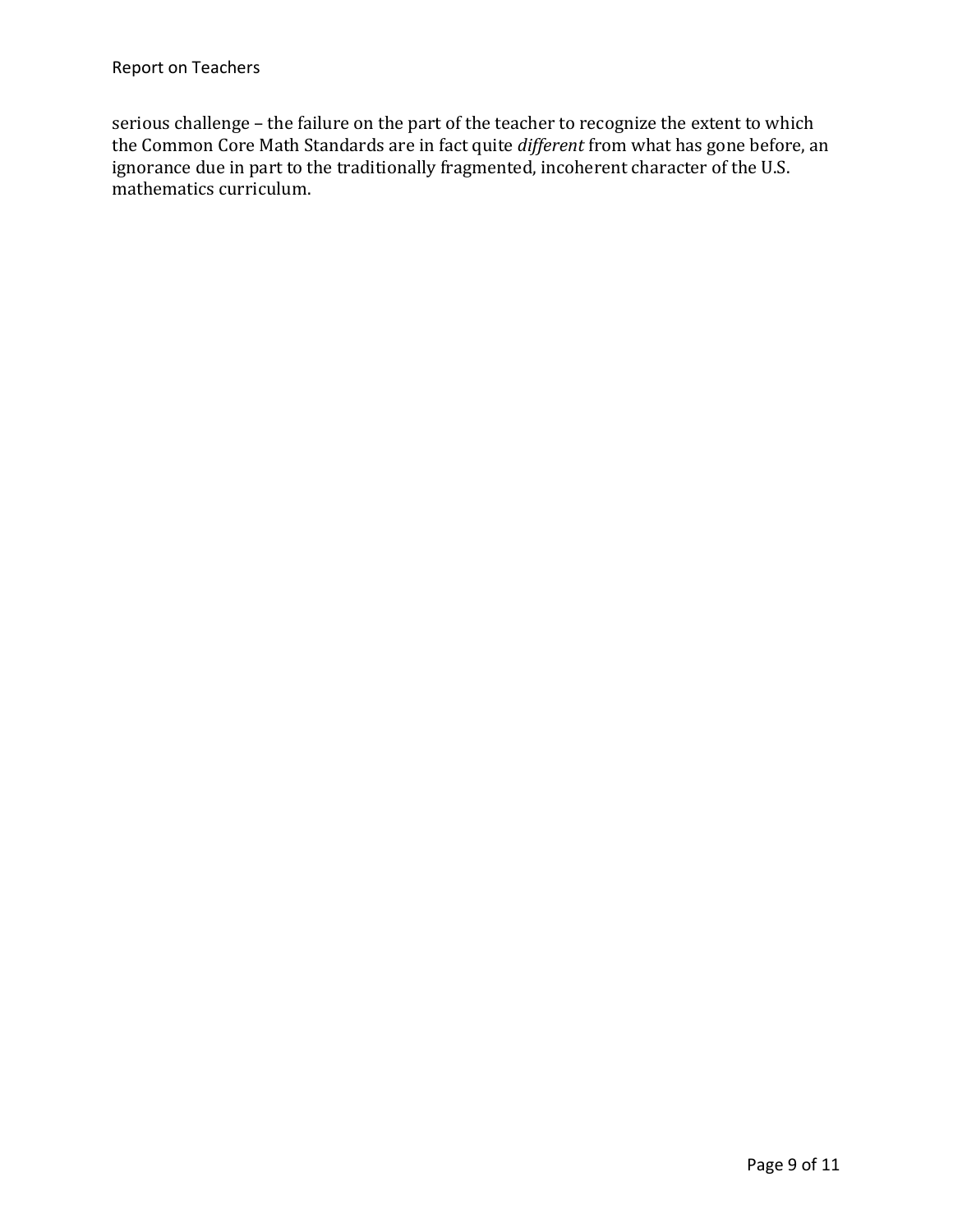serious challenge - the failure on the part of the teacher to recognize the extent to which the Common Core Math Standards are in fact quite *different* from what has gone before, an ignorance due in part to the traditionally fragmented, incoherent character of the U.S. mathematics curriculum.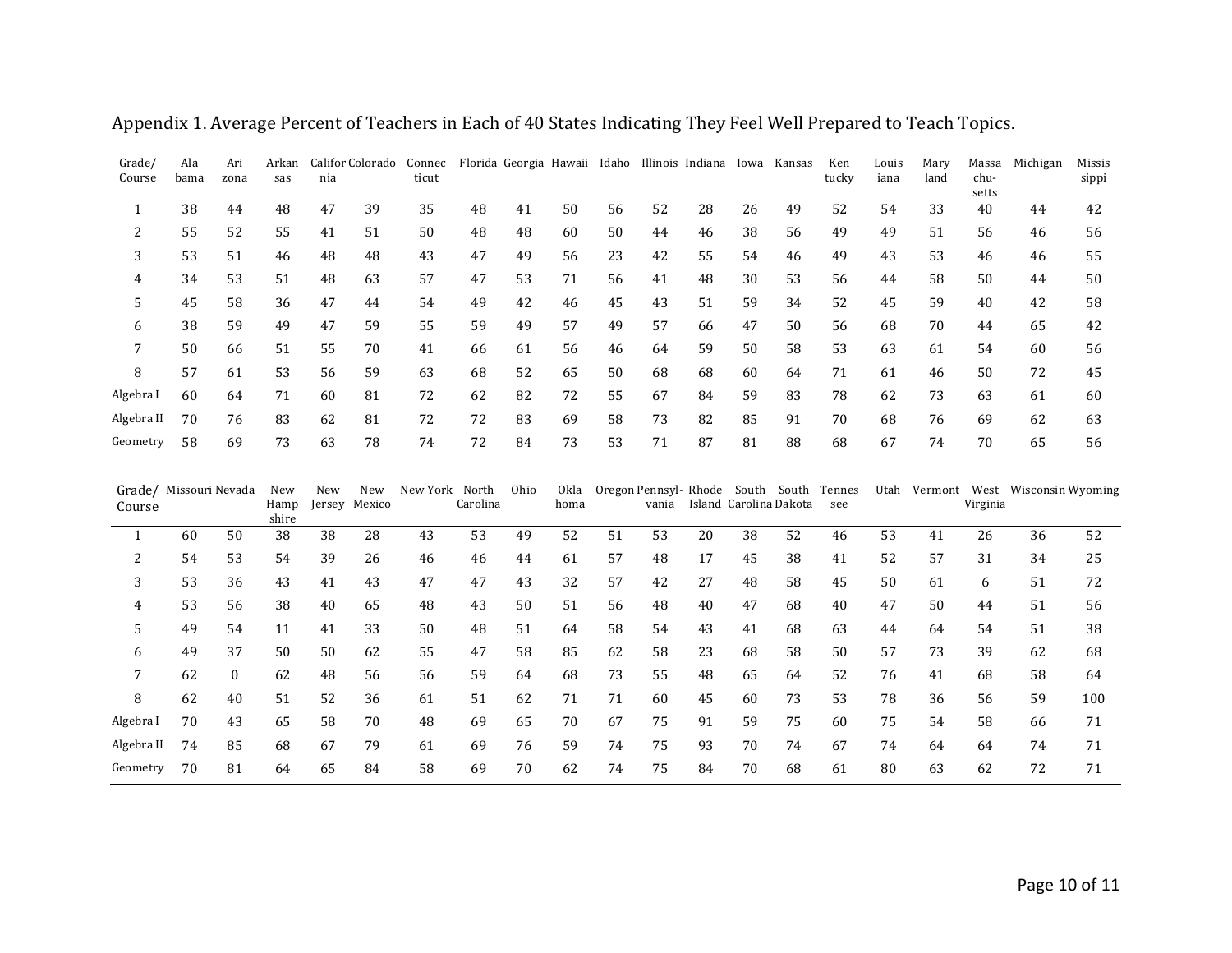| Grade/<br>Course                 | Ala<br>bama | Ari<br>zona  | Arkan<br>sas         | nia |                      | Califor Colorado Connec<br>ticut |          |      |              |    |       | Florida Georgia Hawaii Idaho Illinois Indiana                     |    | Iowa Kansas | Ken<br>tucky | Louis<br>iana | Mary<br>land | Massa<br>chu-<br>setts | Michigan                            | Missis<br>sippi |
|----------------------------------|-------------|--------------|----------------------|-----|----------------------|----------------------------------|----------|------|--------------|----|-------|-------------------------------------------------------------------|----|-------------|--------------|---------------|--------------|------------------------|-------------------------------------|-----------------|
| $\mathbf{1}$                     | 38          | 44           | 48                   | 47  | 39                   | 35                               | 48       | 41   | 50           | 56 | 52    | 28                                                                | 26 | 49          | 52           | 54            | 33           | 40                     | 44                                  | 42              |
| $\overline{2}$                   | 55          | 52           | 55                   | 41  | 51                   | 50                               | 48       | 48   | 60           | 50 | 44    | 46                                                                | 38 | 56          | 49           | 49            | 51           | 56                     | 46                                  | 56              |
| 3                                | 53          | 51           | 46                   | 48  | 48                   | 43                               | 47       | 49   | 56           | 23 | 42    | 55                                                                | 54 | 46          | 49           | 43            | 53           | 46                     | 46                                  | 55              |
| 4                                | 34          | 53           | 51                   | 48  | 63                   | 57                               | 47       | 53   | 71           | 56 | 41    | 48                                                                | 30 | 53          | 56           | 44            | 58           | 50                     | 44                                  | 50              |
| 5                                | 45          | 58           | 36                   | 47  | 44                   | 54                               | 49       | 42   | 46           | 45 | 43    | 51                                                                | 59 | 34          | 52           | 45            | 59           | 40                     | 42                                  | 58              |
| 6                                | 38          | 59           | 49                   | 47  | 59                   | 55                               | 59       | 49   | 57           | 49 | 57    | 66                                                                | 47 | 50          | 56           | 68            | 70           | 44                     | 65                                  | 42              |
| 7                                | 50          | 66           | 51                   | 55  | 70                   | 41                               | 66       | 61   | 56           | 46 | 64    | 59                                                                | 50 | 58          | 53           | 63            | 61           | 54                     | 60                                  | 56              |
| 8                                | 57          | 61           | 53                   | 56  | 59                   | 63                               | 68       | 52   | 65           | 50 | 68    | 68                                                                | 60 | 64          | 71           | 61            | 46           | 50                     | 72                                  | 45              |
| Algebra I                        | 60          | 64           | 71                   | 60  | 81                   | 72                               | 62       | 82   | 72           | 55 | 67    | 84                                                                | 59 | 83          | 78           | 62            | 73           | 63                     | 61                                  | 60              |
| Algebra II                       | 70          | 76           | 83                   | 62  | 81                   | 72                               | 72       | 83   | 69           | 58 | 73    | 82                                                                | 85 | 91          | 70           | 68            | 76           | 69                     | 62                                  | 63              |
| Geometry                         | 58          | 69           | 73                   | 63  | 78                   | 74                               | 72       | 84   | 73           | 53 | 71    | 87                                                                | 81 | 88          | 68           | 67            | 74           | 70                     | 65                                  | 56              |
| Grade/ Missouri Nevada<br>Course |             |              | New<br>Hamp<br>shire | New | New<br>Jersey Mexico | New York North                   | Carolina | Ohio | Okla<br>homa |    | vania | Oregon Pennsyl-Rhode South South Tennes<br>Island Carolina Dakota |    |             | see          |               |              | Virginia               | Utah Vermont West Wisconsin Wyoming |                 |
| $\mathbf{1}$                     | 60          | 50           | 38                   | 38  | 28                   | 43                               | 53       | 49   | 52           | 51 | 53    | 20                                                                | 38 | 52          | 46           | 53            | 41           | 26                     | 36                                  | 52              |
| 2                                | 54          | 53           | 54                   | 39  | 26                   | 46                               | 46       | 44   | 61           | 57 | 48    | 17                                                                | 45 | 38          | 41           | 52            | 57           | 31                     | 34                                  | 25              |
| 3                                | 53          | 36           | 43                   | 41  | 43                   | 47                               | 47       | 43   | 32           | 57 | 42    | 27                                                                | 48 | 58          | 45           | 50            | 61           | 6                      | 51                                  | 72              |
| 4                                | 53          | 56           | 38                   | 40  | 65                   | 48                               | 43       | 50   | 51           | 56 | 48    | 40                                                                | 47 | 68          | 40           | 47            | 50           | 44                     | 51                                  | 56              |
| 5                                | 49          | 54           | 11                   | 41  | 33                   | 50                               | 48       | 51   | 64           | 58 | 54    | 43                                                                | 41 | 68          | 63           | 44            | 64           | 54                     | 51                                  | 38              |
| 6                                | 49          | 37           | 50                   | 50  | 62                   | 55                               | 47       | 58   | 85           | 62 | 58    | 23                                                                | 68 | 58          | 50           | 57            | 73           | 39                     | 62                                  | 68              |
| 7                                | 62          | $\mathbf{0}$ | 62                   | 48  | 56                   | 56                               | 59       | 64   | 68           | 73 | 55    | 48                                                                | 65 | 64          | 52           | 76            | 41           | 68                     | 58                                  | 64              |
| 8                                | 62          | 40           | 51                   | 52  | 36                   | 61                               | 51       | 62   | 71           | 71 | 60    | 45                                                                | 60 | 73          | 53           | 78            | 36           | 56                     | 59                                  | 100             |
| Algebra I                        | 70          | 43           | 65                   | 58  | 70                   | 48                               | 69       | 65   | 70           | 67 | 75    | 91                                                                | 59 | 75          | 60           | 75            | 54           | 58                     | 66                                  | 71              |
| Algebra II                       | 74          | 85           | 68                   | 67  | 79                   | 61                               | 69       | 76   | 59           | 74 | 75    | 93                                                                | 70 | 74          | 67           | 74            | 64           | 64                     | 74                                  | 71              |
| Geometry                         | 70          | 81           | 64                   | 65  | 84                   | 58                               | 69       | 70   | 62           | 74 | 75    | 84                                                                | 70 | 68          | 61           | 80            | 63           | 62                     | 72                                  | 71              |

Appendix 1. Average Percent of Teachers in Each of 40 States Indicating They Feel Well Prepared to Teach Topics.